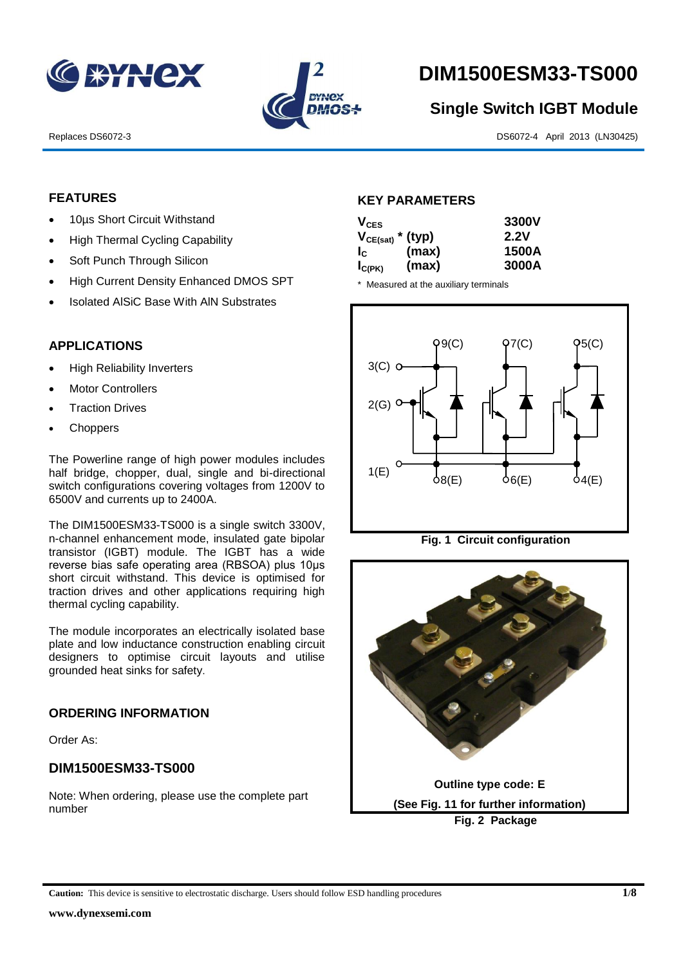



# **DIM1500ESM33-TS000**

# **Single Switch IGBT Module**

Replaces DS6072-3 DS6072-4 April 2013 (LN30425)

### **FEATURES**

- 10µs Short Circuit Withstand
- High Thermal Cycling Capability
- Soft Punch Through Silicon
- High Current Density Enhanced DMOS SPT
- Isolated AlSiC Base With AlN Substrates

#### **APPLICATIONS**

- High Reliability Inverters
- Motor Controllers
- Traction Drives
- **Choppers**

The Powerline range of high power modules includes half bridge, chopper, dual, single and bi-directional switch configurations covering voltages from 1200V to 6500V and currents up to 2400A.

The DIM1500ESM33-TS000 is a single switch 3300V, n-channel enhancement mode, insulated gate bipolar transistor (IGBT) module. The IGBT has a wide reverse bias safe operating area (RBSOA) plus 10μs short circuit withstand. This device is optimised for traction drives and other applications requiring high thermal cycling capability.

The module incorporates an electrically isolated base plate and low inductance construction enabling circuit designers to optimise circuit layouts and utilise grounded heat sinks for safety.

#### **ORDERING INFORMATION**

Order As:

## **DIM1500ESM33-TS000**

Note: When ordering, please use the complete part number

#### **KEY PARAMETERS**

| $V_{CES}$             |       | 3300V |
|-----------------------|-------|-------|
| $V_{CE(sat)}$ * (typ) |       | 2.2V  |
| Ic.                   | (max) | 1500A |
| $I_{C(PK)}$           | (max) | 3000A |

\* Measured at the auxiliary terminals





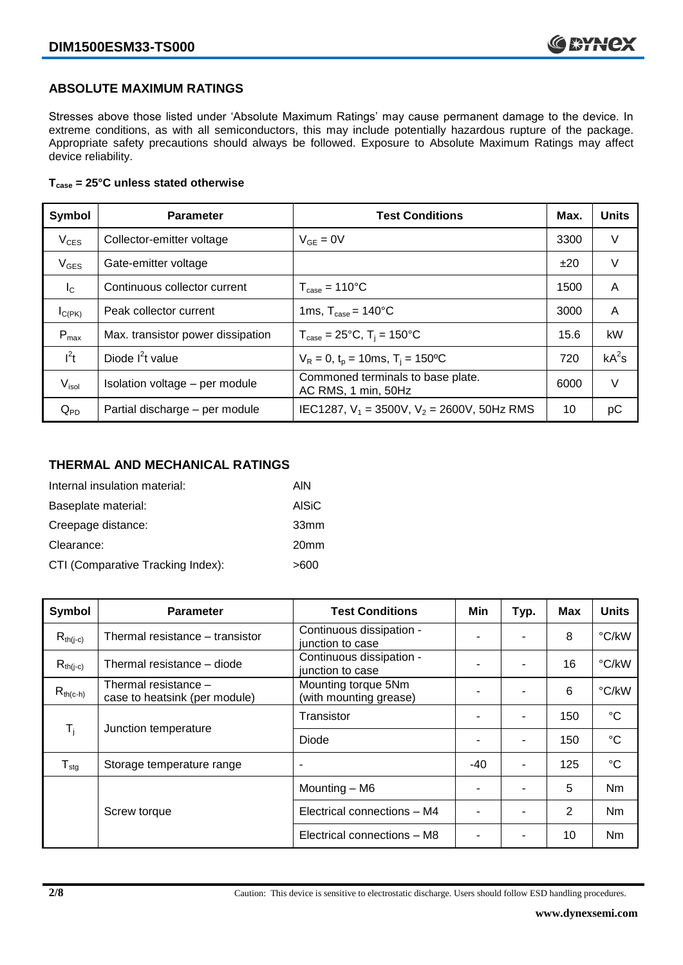## **ABSOLUTE MAXIMUM RATINGS**

Stresses above those listed under 'Absolute Maximum Ratings' may cause permanent damage to the device. In extreme conditions, as with all semiconductors, this may include potentially hazardous rupture of the package. Appropriate safety precautions should always be followed. Exposure to Absolute Maximum Ratings may affect device reliability.

#### **Tcase = 25°C unless stated otherwise**

| Symbol            | <b>Parameter</b>                  | <b>Test Conditions</b>                                   | Max. | <b>Units</b> |
|-------------------|-----------------------------------|----------------------------------------------------------|------|--------------|
| $V_{CES}$         | Collector-emitter voltage         | $V_{GF} = 0V$                                            | 3300 | V            |
| $V_{GES}$         | Gate-emitter voltage              |                                                          | ±20  | V            |
| $I_{\rm C}$       | Continuous collector current      | $T_{\text{case}} = 110^{\circ}C$                         | 1500 | A            |
| $I_{C(PK)}$       | Peak collector current            | 1ms, $T_{\text{case}} = 140^{\circ}$ C                   | 3000 | A            |
| $P_{\text{max}}$  | Max. transistor power dissipation | $T_{\text{case}} = 25^{\circ}C$ , $T_i = 150^{\circ}C$   | 15.6 | kW           |
| $I^2t$            | Diode $I^2t$ value                | $V_R = 0$ , $t_p = 10$ ms, $T_i = 150$ <sup>o</sup> C    | 720  | $kA^2s$      |
| V <sub>isol</sub> | Isolation voltage - per module    | Commoned terminals to base plate.<br>AC RMS, 1 min, 50Hz | 6000 | V            |
| $Q_{PD}$          | Partial discharge - per module    | IEC1287, $V_1 = 3500V$ , $V_2 = 2600V$ , 50Hz RMS        | 10   | рC           |

#### **THERMAL AND MECHANICAL RATINGS**

| Internal insulation material:     | AIN              |
|-----------------------------------|------------------|
| Baseplate material:               | <b>AISiC</b>     |
| Creepage distance:                | 33mm             |
| Clearance:                        | 20 <sub>mm</sub> |
| CTI (Comparative Tracking Index): | >600             |

| Symbol                        | <b>Parameter</b>                                      | <b>Test Conditions</b>                        | Min   | Typ. | Max | <b>Units</b>    |
|-------------------------------|-------------------------------------------------------|-----------------------------------------------|-------|------|-----|-----------------|
| $R_{th(j-c)}$                 | Thermal resistance - transistor                       | Continuous dissipation -<br>junction to case  |       |      | 8   | °C/kW           |
| $R_{th(j-c)}$                 | Thermal resistance - diode                            | Continuous dissipation -<br>junction to case  |       |      | 16  | °C/kW           |
| $R_{th(c-h)}$                 | Thermal resistance -<br>case to heatsink (per module) | Mounting torque 5Nm<br>(with mounting grease) | -     |      | 6   | °C/kW           |
| $T_i$<br>Junction temperature |                                                       | Transistor                                    |       |      | 150 | $^{\circ}C$     |
|                               |                                                       | Diode                                         |       |      | 150 | $\rm ^{\circ}C$ |
| ${\mathsf T}_{\text{stg}}$    | Storage temperature range                             | $\overline{\phantom{a}}$                      | $-40$ | -    | 125 | $^{\circ}C$     |
|                               |                                                       | Mounting - M6                                 |       |      | 5   | Nm              |
|                               | Screw torque                                          | Electrical connections - M4                   |       |      | 2   | N <sub>m</sub>  |
|                               |                                                       | Electrical connections - M8                   |       |      | 10  | Nm              |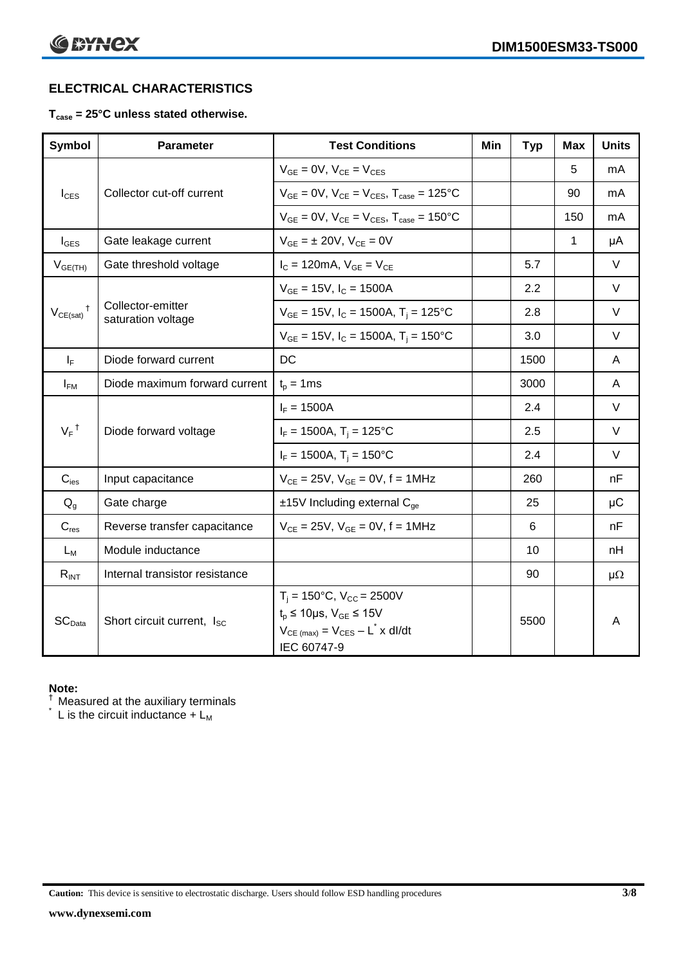# **ELECTRICAL CHARACTERISTICS**

## **Tcase = 25°C unless stated otherwise.**

| <b>Symbol</b>              | <b>Parameter</b>                        | <b>Test Conditions</b>                                                                                                                                   | Min | <b>Typ</b> | Max | <b>Units</b> |
|----------------------------|-----------------------------------------|----------------------------------------------------------------------------------------------------------------------------------------------------------|-----|------------|-----|--------------|
|                            |                                         | $V_{GE} = 0V$ , $V_{CE} = V_{CES}$                                                                                                                       |     |            | 5   | mA           |
| $I_{\text{CES}}$           | Collector cut-off current               | $V_{GF} = 0V$ , $V_{CE} = V_{CES}$ , $T_{case} = 125$ °C                                                                                                 |     |            | 90  | mA           |
|                            |                                         | $V_{GF} = 0V$ , $V_{CF} = V_{CES}$ , $T_{case} = 150^{\circ}C$                                                                                           |     |            | 150 | mA           |
| $I_{\text{GES}}$           | Gate leakage current                    | $V_{GE} = \pm 20V$ , $V_{CE} = 0V$                                                                                                                       |     |            | 1   | μA           |
| $V_{GE(TH)}$               | Gate threshold voltage                  | $I_{C} = 120 \text{mA}, V_{GE} = V_{CE}$                                                                                                                 |     | 5.7        |     | $\vee$       |
|                            |                                         | $V_{GF}$ = 15V, $I_C$ = 1500A                                                                                                                            |     | 2.2        |     | $\vee$       |
| $V_{CE(sat)}$ <sup>†</sup> | Collector-emitter<br>saturation voltage | $V_{GE}$ = 15V, $I_C$ = 1500A, $T_i$ = 125°C                                                                                                             |     | 2.8        |     | $\vee$       |
|                            |                                         | $V_{GE}$ = 15V, $I_C$ = 1500A, $T_i$ = 150°C                                                                                                             |     | 3.0        |     | $\vee$       |
| $I_F$                      | Diode forward current                   | DC                                                                                                                                                       |     | 1500       |     | A            |
| $I_{FM}$                   | Diode maximum forward current           | $t_p = 1$ ms                                                                                                                                             |     | 3000       |     | A            |
|                            |                                         | $I_F = 1500A$                                                                                                                                            |     | 2.4        |     | $\vee$       |
| $V_F$ <sup>†</sup>         | Diode forward voltage                   | $I_F = 1500A$ , $T_i = 125^{\circ}C$                                                                                                                     |     | 2.5        |     | $\vee$       |
|                            |                                         | $I_F = 1500A$ , $T_i = 150^{\circ}C$                                                                                                                     |     | 2.4        |     | $\vee$       |
| $C_{\text{ies}}$           | Input capacitance                       | $V_{CE} = 25V$ , $V_{GE} = 0V$ , $f = 1MHz$                                                                                                              |     | 260        |     | nF           |
| $Q_q$                      | Gate charge                             | $±15V$ Including external $C_{qe}$                                                                                                                       |     | 25         |     | $\mu$ C      |
| $C_{res}$                  | Reverse transfer capacitance            | $V_{CE} = 25V$ , $V_{GE} = 0V$ , $f = 1MHz$                                                                                                              |     | 6          |     | nF           |
| $L_M$                      | Module inductance                       |                                                                                                                                                          |     | 10         |     | nH           |
| $R_{INT}$                  | Internal transistor resistance          |                                                                                                                                                          |     | 90         |     | $\mu\Omega$  |
| SC <sub>Data</sub>         | Short circuit current, I <sub>SC</sub>  | $T_i = 150^{\circ}C$ , $V_{CC} = 2500V$<br>$t_p \le 10 \mu s$ , $V_{GE} \le 15V$<br>$V_{CE \ (max)} = V_{CES} - L^{\dagger} \times dl/dt$<br>IEC 60747-9 |     | 5500       |     | A            |

#### **Note:**

 $\dagger$  Measured at the auxiliary terminals

 $\check{}$  L is the circuit inductance + L<sub>M</sub>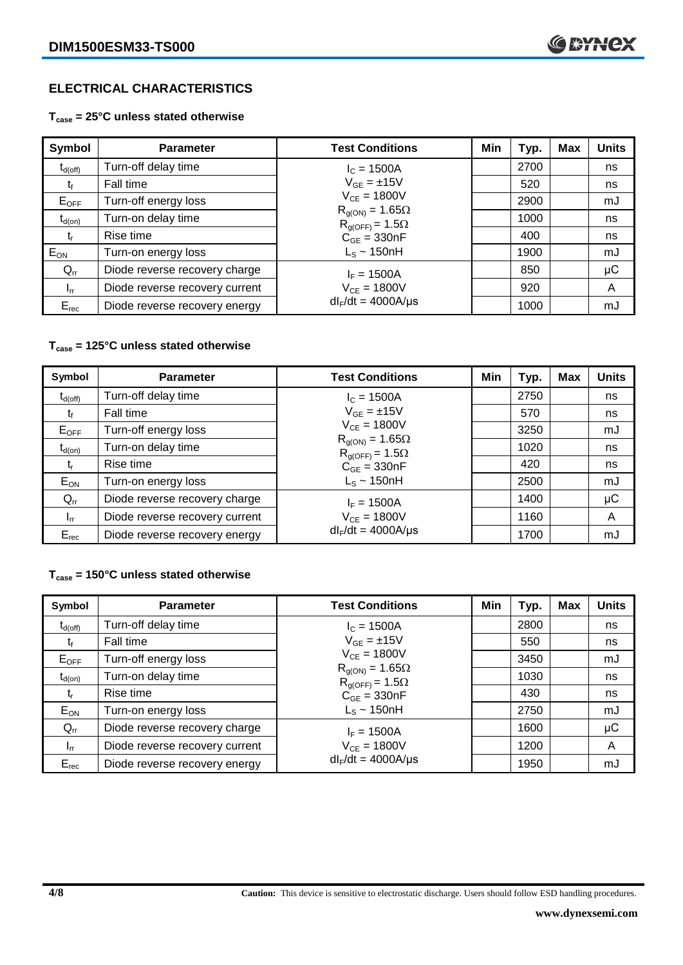# **ELECTRICAL CHARACTERISTICS**

**Tcase = 25°C unless stated otherwise**

| Symbol              | <b>Parameter</b>               | <b>Test Conditions</b>                               | Min | Typ. | <b>Max</b> | <b>Units</b> |
|---------------------|--------------------------------|------------------------------------------------------|-----|------|------------|--------------|
| $t_{d(\text{off})}$ | Turn-off delay time            | $I_c = 1500A$                                        |     | 2700 |            | ns           |
| โf                  | Fall time                      | $V_{GF} = \pm 15V$                                   |     | 520  |            | ns           |
| $E_{OFF}$           | Turn-off energy loss           | $V_{CE} = 1800V$                                     |     | 2900 |            | mJ           |
| $t_{d(on)}$         | Turn-on delay time             | $R_{q(ON)} = 1.65\Omega$<br>$R_{g(OFF)} = 1.5\Omega$ |     | 1000 |            | ns           |
| t,                  | Rise time                      | $C_{GE} = 330nF$                                     |     | 400  |            | ns           |
| $E_{ON}$            | Turn-on energy loss            | $L_s \sim 150$ nH                                    |     | 1900 |            | mJ           |
| $Q_{rr}$            | Diode reverse recovery charge  | $I_F = 1500A$                                        |     | 850  |            | $\mu$ C      |
| $I_{rr}$            | Diode reverse recovery current | $V_{CE} = 1800V$                                     |     | 920  |            | A            |
| $E_{rec}$           | Diode reverse recovery energy  | $dl_F/dt = 4000A/\mu s$                              |     | 1000 |            | mJ           |

#### **Tcase = 125°C unless stated otherwise**

| Symbol                         | <b>Parameter</b>               | <b>Test Conditions</b>                               | Min | Typ. | <b>Max</b> | <b>Units</b> |
|--------------------------------|--------------------------------|------------------------------------------------------|-----|------|------------|--------------|
| $\mathfrak{r}_{\text{d(off)}}$ | Turn-off delay time            | $I_c = 1500A$                                        |     | 2750 |            | ns           |
| t                              | Fall time                      | $V_{GE} = \pm 15V$                                   |     | 570  |            | ns           |
| $E_{OFF}$                      | Turn-off energy loss           | $V_{CE} = 1800V$                                     |     | 3250 |            | mJ           |
| $t_{d(on)}$                    | Turn-on delay time             | $R_{g(ON)} = 1.65\Omega$<br>$R_{q(OFF)} = 1.5\Omega$ |     | 1020 |            | ns           |
| t,                             | Rise time                      | $C_{GE} = 330nF$                                     |     | 420  |            | ns           |
| $E_{ON}$                       | Turn-on energy loss            | $L_s \sim 150$ nH                                    |     | 2500 |            | mJ           |
| $Q_{rr}$                       | Diode reverse recovery charge  | $I_F = 1500A$                                        |     | 1400 |            | μC           |
| $I_{rr}$                       | Diode reverse recovery current | $V_{CE} = 1800V$                                     |     | 1160 |            | A            |
| $E_{rec}$                      | Diode reverse recovery energy  | $dl_F/dt = 4000A/\mu s$                              |     | 1700 |            | mJ           |

### **Tcase = 150°C unless stated otherwise**

| Symbol       | <b>Parameter</b>               | <b>Test Conditions</b>                               | Min | Typ. | Max | <b>Units</b> |
|--------------|--------------------------------|------------------------------------------------------|-----|------|-----|--------------|
| $t_{d(off)}$ | Turn-off delay time            | $I_c = 1500A$                                        |     | 2800 |     | ns           |
|              | Fall time                      | $V_{GF} = \pm 15V$                                   |     | 550  |     | ns           |
| $E_{OFF}$    | Turn-off energy loss           | $V_{CF} = 1800V$                                     |     | 3450 |     | mJ           |
| $t_{d(on)}$  | Turn-on delay time             | $R_{g(ON)} = 1.65\Omega$<br>$R_{q(OFF)} = 1.5\Omega$ |     | 1030 |     | ns           |
| t,           | Rise time                      | $C_{GE} = 330nF$                                     |     | 430  |     | ns           |
| $E_{ON}$     | Turn-on energy loss            | $L_s \sim 150$ nH                                    |     | 2750 |     | mJ           |
| $Q_{rr}$     | Diode reverse recovery charge  | $I_F = 1500A$                                        |     | 1600 |     | μC           |
| $I_{rr}$     | Diode reverse recovery current | $V_{CE} = 1800V$                                     |     | 1200 |     | A            |
| $E_{rec}$    | Diode reverse recovery energy  | $dl_F/dt = 4000A/\mu s$                              |     | 1950 |     | mJ           |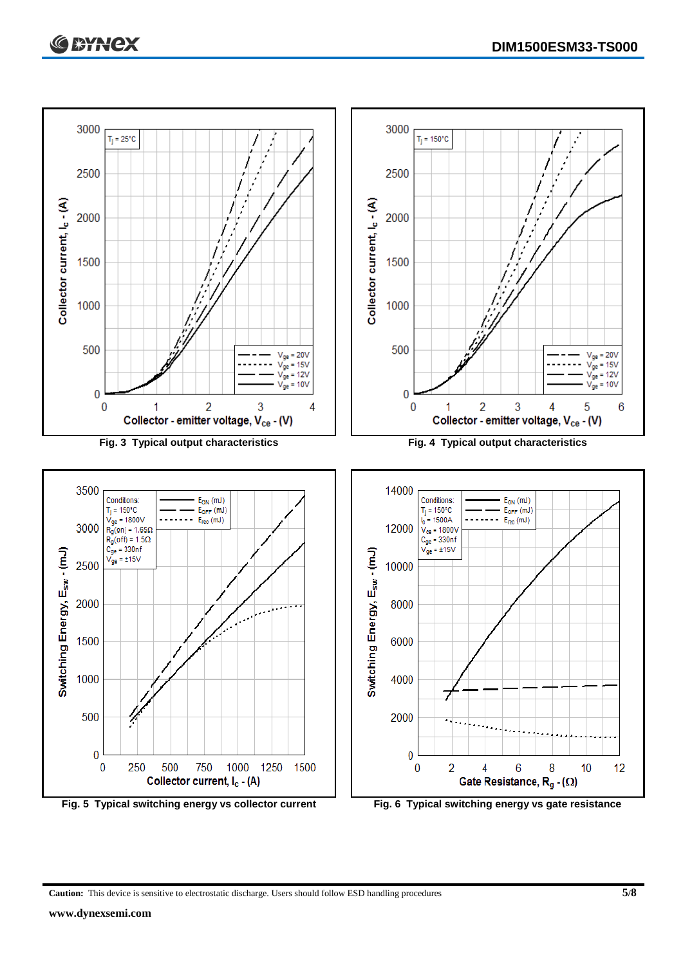

**Caution:** This device is sensitive to electrostatic discharge. Users should follow ESD handling procedures **5/8**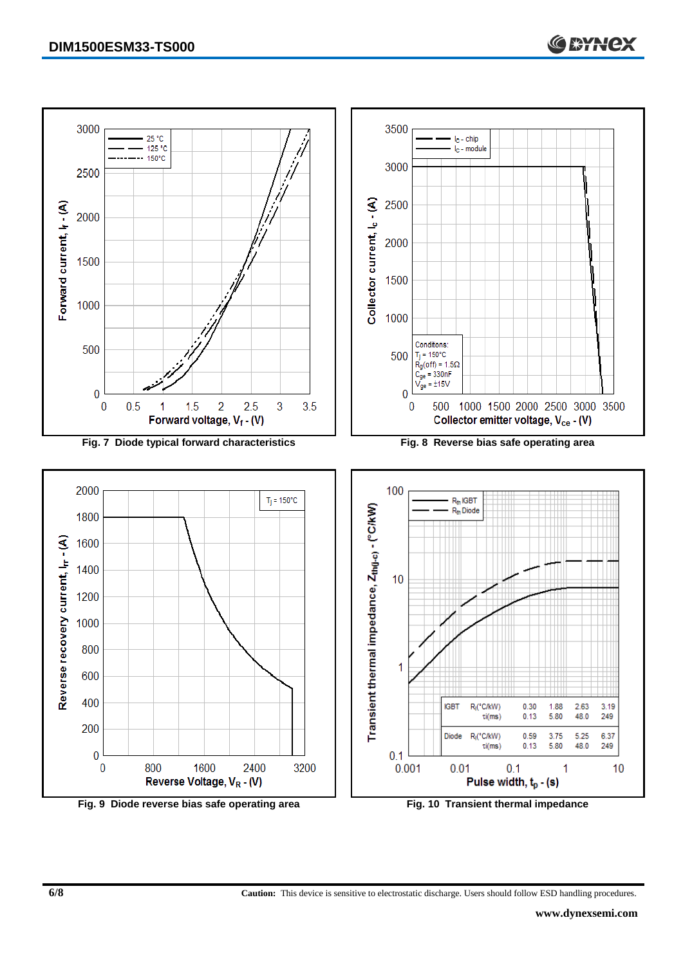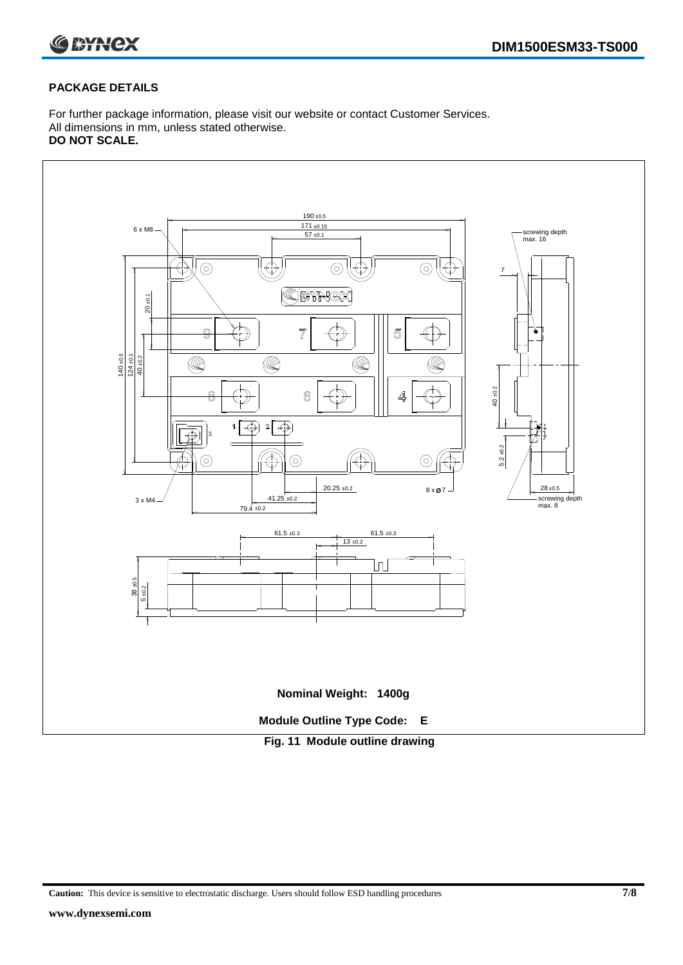

#### **PACKAGE DETAILS**

For further package information, please visit our website or contact Customer Services. All dimensions in mm, unless stated otherwise. **DO NOT SCALE.**



**Caution:** This device is sensitive to electrostatic discharge. Users should follow ESD handling procedures **7/8**